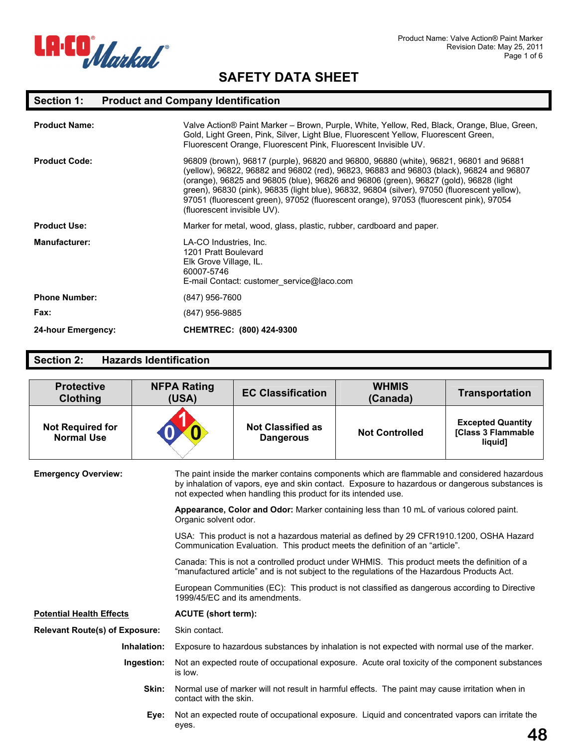

# **Section 1: Product and Company Identification**

| <b>Product Name:</b>      | Valve Action® Paint Marker – Brown, Purple, White, Yellow, Red, Black, Orange, Blue, Green,<br>Gold, Light Green, Pink, Silver, Light Blue, Fluorescent Yellow, Fluorescent Green,<br>Fluorescent Orange, Fluorescent Pink, Fluorescent Invisible UV.                                                                                                                                                                                                                                              |  |
|---------------------------|----------------------------------------------------------------------------------------------------------------------------------------------------------------------------------------------------------------------------------------------------------------------------------------------------------------------------------------------------------------------------------------------------------------------------------------------------------------------------------------------------|--|
| <b>Product Code:</b>      | 96809 (brown), 96817 (purple), 96820 and 96800, 96880 (white), 96821, 96801 and 96881<br>(yellow), 96822, 96882 and 96802 (red), 96823, 96883 and 96803 (black), 96824 and 96807<br>(orange), 96825 and 96805 (blue), 96826 and 96806 (green), 96827 (gold), 96828 (light<br>green), 96830 (pink), 96835 (light blue), 96832, 96804 (silver), 97050 (fluorescent yellow),<br>97051 (fluorescent green), 97052 (fluorescent orange), 97053 (fluorescent pink), 97054<br>(fluorescent invisible UV). |  |
| <b>Product Use:</b>       | Marker for metal, wood, glass, plastic, rubber, cardboard and paper.                                                                                                                                                                                                                                                                                                                                                                                                                               |  |
| <b>Manufacturer:</b>      | LA-CO Industries, Inc.<br>1201 Pratt Boulevard<br>Elk Grove Village, IL.<br>60007-5746<br>E-mail Contact: customer service@laco.com                                                                                                                                                                                                                                                                                                                                                                |  |
| <b>Phone Number:</b>      | (847) 956-7600                                                                                                                                                                                                                                                                                                                                                                                                                                                                                     |  |
| Fax:                      | (847) 956-9885                                                                                                                                                                                                                                                                                                                                                                                                                                                                                     |  |
| <b>24-hour Emergency:</b> | CHEMTREC: (800) 424-9300                                                                                                                                                                                                                                                                                                                                                                                                                                                                           |  |

### **Section 2: Hazards Identification**

| <b>Protective</b><br><b>Clothing</b>         | <b>NFPA Rating</b><br>(USA)     | <b>EC Classification</b>                                                                                                                                                                                                                                         | <b>WHMIS</b><br>(Canada)                                                                                                                                                 | <b>Transportation</b>                                     |  |
|----------------------------------------------|---------------------------------|------------------------------------------------------------------------------------------------------------------------------------------------------------------------------------------------------------------------------------------------------------------|--------------------------------------------------------------------------------------------------------------------------------------------------------------------------|-----------------------------------------------------------|--|
| <b>Not Required for</b><br><b>Normal Use</b> |                                 | <b>Not Classified as</b><br><b>Dangerous</b>                                                                                                                                                                                                                     | <b>Not Controlled</b>                                                                                                                                                    | <b>Excepted Quantity</b><br>[Class 3 Flammable<br>liquid] |  |
| <b>Emergency Overview:</b>                   |                                 | The paint inside the marker contains components which are flammable and considered hazardous<br>by inhalation of vapors, eye and skin contact. Exposure to hazardous or dangerous substances is<br>not expected when handling this product for its intended use. |                                                                                                                                                                          |                                                           |  |
|                                              | Organic solvent odor.           |                                                                                                                                                                                                                                                                  | Appearance, Color and Odor: Marker containing less than 10 mL of various colored paint.                                                                                  |                                                           |  |
|                                              |                                 |                                                                                                                                                                                                                                                                  | USA: This product is not a hazardous material as defined by 29 CFR1910.1200, OSHA Hazard<br>Communication Evaluation. This product meets the definition of an "article". |                                                           |  |
|                                              |                                 | Canada: This is not a controlled product under WHMIS. This product meets the definition of a<br>"manufactured article" and is not subject to the regulations of the Hazardous Products Act.                                                                      |                                                                                                                                                                          |                                                           |  |
|                                              |                                 | European Communities (EC): This product is not classified as dangerous according to Directive<br>1999/45/EC and its amendments.                                                                                                                                  |                                                                                                                                                                          |                                                           |  |
| <b>Potential Health Effects</b>              |                                 | <b>ACUTE</b> (short term):                                                                                                                                                                                                                                       |                                                                                                                                                                          |                                                           |  |
| <b>Relevant Route(s) of Exposure:</b>        | Skin contact.                   |                                                                                                                                                                                                                                                                  |                                                                                                                                                                          |                                                           |  |
|                                              | Inhalation:                     |                                                                                                                                                                                                                                                                  | Exposure to hazardous substances by inhalation is not expected with normal use of the marker.                                                                            |                                                           |  |
|                                              | Ingestion:<br>is low.           |                                                                                                                                                                                                                                                                  | Not an expected route of occupational exposure. Acute oral toxicity of the component substances                                                                          |                                                           |  |
|                                              | Skin:<br>contact with the skin. |                                                                                                                                                                                                                                                                  | Normal use of marker will not result in harmful effects. The paint may cause irritation when in                                                                          |                                                           |  |
|                                              | Eye:<br>eyes.                   |                                                                                                                                                                                                                                                                  | Not an expected route of occupational exposure. Liquid and concentrated vapors can irritate the                                                                          | 48                                                        |  |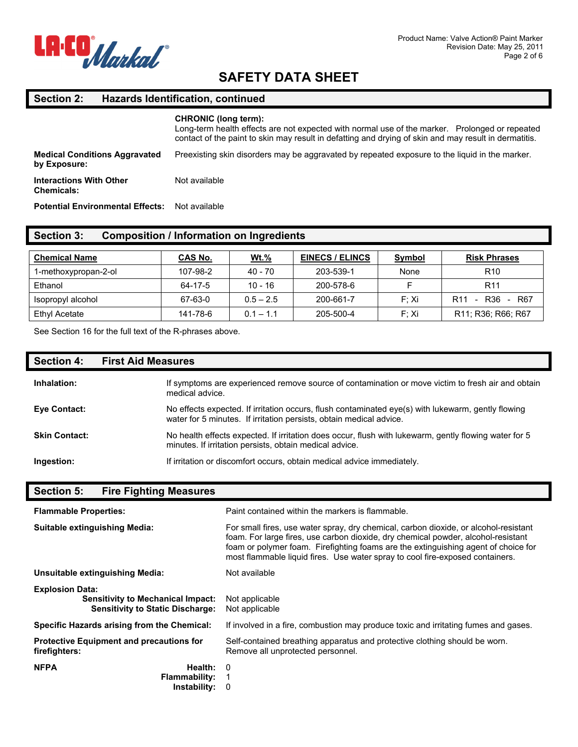

# **Section 2: Hazards Identification, continued**

|                                                      | <b>CHRONIC (long term):</b><br>Long-term health effects are not expected with normal use of the marker. Prolonged or repeated<br>contact of the paint to skin may result in defatting and drying of skin and may result in dermatitis. |
|------------------------------------------------------|----------------------------------------------------------------------------------------------------------------------------------------------------------------------------------------------------------------------------------------|
| <b>Medical Conditions Aggravated</b><br>by Exposure: | Preexisting skin disorders may be aggravated by repeated exposure to the liquid in the marker.                                                                                                                                         |
| <b>Interactions With Other</b><br><b>Chemicals:</b>  | Not available                                                                                                                                                                                                                          |
| <b>Potential Environmental Effects:</b>              | Not available                                                                                                                                                                                                                          |

| Section 3: | Composition / Information on Ingredients |  |  |  |  |
|------------|------------------------------------------|--|--|--|--|
|            |                                          |  |  |  |  |

| <b>Chemical Name</b> | <b>CAS No.</b> | <u>Wt.%</u> | <b>EINECS / ELINCS</b> | Symbol | <b>Risk Phrases</b>                                                   |
|----------------------|----------------|-------------|------------------------|--------|-----------------------------------------------------------------------|
| 1-methoxypropan-2-ol | 107-98-2       | 40 - 70     | 203-539-1              | None   | R <sub>10</sub>                                                       |
| Ethanol              | 64-17-5        | $10 - 16$   | 200-578-6              |        | R <sub>11</sub>                                                       |
| Isopropyl alcohol    | 67-63-0        | $0.5 - 2.5$ | 200-661-7              | F: Xi  | R36<br>R <sub>11</sub><br>R67<br>$\sim$<br>$\overline{\phantom{a}}$   |
| Ethyl Acetate        | 141-78-6       | $0.1 - 1.1$ | 205-500-4              | F: Xi  | R <sub>11</sub> ; R <sub>36</sub> ; R <sub>66</sub> ; R <sub>67</sub> |

See Section 16 for the full text of the R-phrases above.

| <b>Section 4:</b>    | <b>First Aid Measures</b>                                                                                                                                                 |
|----------------------|---------------------------------------------------------------------------------------------------------------------------------------------------------------------------|
| Inhalation:          | If symptoms are experienced remove source of contamination or move victim to fresh air and obtain<br>medical advice.                                                      |
| <b>Eye Contact:</b>  | No effects expected. If irritation occurs, flush contaminated eye(s) with lukewarm, gently flowing<br>water for 5 minutes. If irritation persists, obtain medical advice. |
| <b>Skin Contact:</b> | No health effects expected. If irritation does occur, flush with lukewarm, gently flowing water for 5<br>minutes. If irritation persists, obtain medical advice.          |
| Ingestion:           | If irritation or discomfort occurs, obtain medical advice immediately.                                                                                                    |

| <b>Fire Fighting Measures</b><br><b>Section 5:</b>                                                            |                                                                                                                                                                                                                                                                                                                                                  |  |  |
|---------------------------------------------------------------------------------------------------------------|--------------------------------------------------------------------------------------------------------------------------------------------------------------------------------------------------------------------------------------------------------------------------------------------------------------------------------------------------|--|--|
| <b>Flammable Properties:</b>                                                                                  | Paint contained within the markers is flammable.                                                                                                                                                                                                                                                                                                 |  |  |
| Suitable extinguishing Media:                                                                                 | For small fires, use water spray, dry chemical, carbon dioxide, or alcohol-resistant<br>foam. For large fires, use carbon dioxide, dry chemical powder, alcohol-resistant<br>foam or polymer foam. Firefighting foams are the extinguishing agent of choice for<br>most flammable liquid fires. Use water spray to cool fire-exposed containers. |  |  |
| Unsuitable extinguishing Media:                                                                               | Not available                                                                                                                                                                                                                                                                                                                                    |  |  |
| <b>Explosion Data:</b><br><b>Sensitivity to Mechanical Impact:</b><br><b>Sensitivity to Static Discharge:</b> | Not applicable<br>Not applicable                                                                                                                                                                                                                                                                                                                 |  |  |
| Specific Hazards arising from the Chemical:                                                                   | If involved in a fire, combustion may produce toxic and irritating fumes and gases.                                                                                                                                                                                                                                                              |  |  |
| <b>Protective Equipment and precautions for</b><br>firefighters:                                              | Self-contained breathing apparatus and protective clothing should be worn.<br>Remove all unprotected personnel.                                                                                                                                                                                                                                  |  |  |
| <b>NFPA</b><br>Health:<br><b>Flammability:</b><br>Instability:                                                | $\Omega$<br>0                                                                                                                                                                                                                                                                                                                                    |  |  |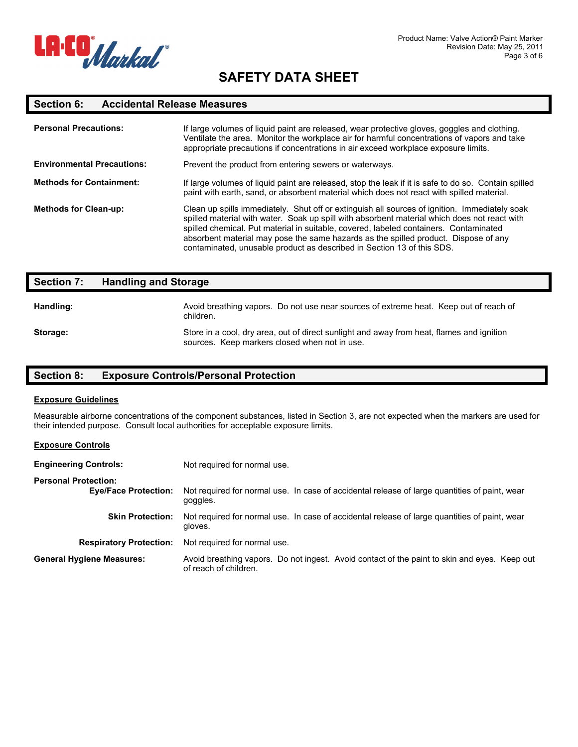

#### **Section 6: Accidental Release Measures**

| <b>Personal Precautions:</b>      | If large volumes of liquid paint are released, wear protective gloves, goggles and clothing.<br>Ventilate the area. Monitor the workplace air for harmful concentrations of vapors and take<br>appropriate precautions if concentrations in air exceed workplace exposure limits.                                                                                                                                                                       |  |
|-----------------------------------|---------------------------------------------------------------------------------------------------------------------------------------------------------------------------------------------------------------------------------------------------------------------------------------------------------------------------------------------------------------------------------------------------------------------------------------------------------|--|
| <b>Environmental Precautions:</b> | Prevent the product from entering sewers or waterways.                                                                                                                                                                                                                                                                                                                                                                                                  |  |
| <b>Methods for Containment:</b>   | If large volumes of liquid paint are released, stop the leak if it is safe to do so. Contain spilled<br>paint with earth, sand, or absorbent material which does not react with spilled material.                                                                                                                                                                                                                                                       |  |
| <b>Methods for Clean-up:</b>      | Clean up spills immediately. Shut off or extinguish all sources of ignition. Immediately soak<br>spilled material with water. Soak up spill with absorbent material which does not react with<br>spilled chemical. Put material in suitable, covered, labeled containers. Contaminated<br>absorbent material may pose the same hazards as the spilled product. Dispose of any<br>contaminated, unusable product as described in Section 13 of this SDS. |  |

| <b>Section 7:</b> | <b>Handling and Storage</b>                                                                                                                |  |
|-------------------|--------------------------------------------------------------------------------------------------------------------------------------------|--|
| Handling:         | Avoid breathing vapors. Do not use near sources of extreme heat. Keep out of reach of<br>children.                                         |  |
| Storage:          | Store in a cool, dry area, out of direct sunlight and away from heat, flames and ignition<br>sources. Keep markers closed when not in use. |  |

### **Section 8: Exposure Controls/Personal Protection**

#### **Exposure Guidelines**

Measurable airborne concentrations of the component substances, listed in Section 3, are not expected when the markers are used for their intended purpose. Consult local authorities for acceptable exposure limits.

#### **Exposure Controls**

| <b>Engineering Controls:</b>                               | Not required for normal use.                                                                                          |  |  |
|------------------------------------------------------------|-----------------------------------------------------------------------------------------------------------------------|--|--|
| <b>Personal Protection:</b><br><b>Eye/Face Protection:</b> | Not required for normal use. In case of accidental release of large quantities of paint, wear<br>goggles.             |  |  |
| <b>Skin Protection:</b>                                    | Not required for normal use. In case of accidental release of large quantities of paint, wear<br>gloves.              |  |  |
| <b>Respiratory Protection:</b>                             | Not required for normal use.                                                                                          |  |  |
| <b>General Hygiene Measures:</b>                           | Avoid breathing vapors. Do not ingest. Avoid contact of the paint to skin and eyes. Keep out<br>of reach of children. |  |  |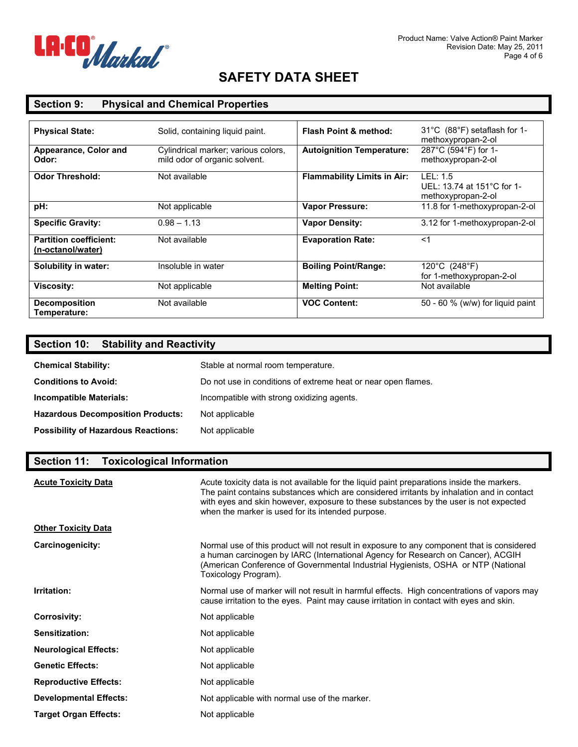

### **Section 9: Physical and Chemical Properties**

| <b>Physical State:</b>                             | Solid, containing liquid paint.                                      | <b>Flash Point &amp; method:</b>   | $31^{\circ}$ C (88 $^{\circ}$ F) setaflash for 1-                |
|----------------------------------------------------|----------------------------------------------------------------------|------------------------------------|------------------------------------------------------------------|
| Appearance, Color and<br>Odor:                     | Cylindrical marker; various colors,<br>mild odor of organic solvent. | <b>Autoignition Temperature:</b>   | methoxypropan-2-ol<br>287°C (594°F) for 1-<br>methoxypropan-2-ol |
| <b>Odor Threshold:</b>                             | Not available                                                        | <b>Flammability Limits in Air:</b> | LEL: 1.5<br>UEL: 13.74 at 151°C for 1-<br>methoxypropan-2-ol     |
| pH:                                                | Not applicable                                                       | <b>Vapor Pressure:</b>             | 11.8 for 1-methoxypropan-2-ol                                    |
| <b>Specific Gravity:</b>                           | $0.98 - 1.13$                                                        | <b>Vapor Density:</b>              | 3.12 for 1-methoxypropan-2-ol                                    |
| <b>Partition coefficient:</b><br>(n-octanol/water) | Not available                                                        | <b>Evaporation Rate:</b>           | $<$ 1                                                            |
| Solubility in water:                               | Insoluble in water                                                   | <b>Boiling Point/Range:</b>        | 120°C (248°F)<br>for 1-methoxypropan-2-ol                        |
| <b>Viscosity:</b>                                  | Not applicable                                                       | <b>Melting Point:</b>              | Not available                                                    |
| <b>Decomposition</b><br>Temperature:               | Not available                                                        | <b>VOC Content:</b>                | 50 - 60 % (w/w) for liquid paint                                 |

# **Section 10: Stability and Reactivity**

| <b>Chemical Stability:</b>                 | Stable at normal room temperature.                            |
|--------------------------------------------|---------------------------------------------------------------|
| <b>Conditions to Avoid:</b>                | Do not use in conditions of extreme heat or near open flames. |
| Incompatible Materials:                    | Incompatible with strong oxidizing agents.                    |
| <b>Hazardous Decomposition Products:</b>   | Not applicable                                                |
| <b>Possibility of Hazardous Reactions:</b> | Not applicable                                                |

#### **Section 11: Toxicological Information**

| <b>Acute Toxicity Data</b>    | Acute toxicity data is not available for the liquid paint preparations inside the markers.<br>The paint contains substances which are considered irritants by inhalation and in contact<br>with eyes and skin however, exposure to these substances by the user is not expected<br>when the marker is used for its intended purpose. |
|-------------------------------|--------------------------------------------------------------------------------------------------------------------------------------------------------------------------------------------------------------------------------------------------------------------------------------------------------------------------------------|
| <b>Other Toxicity Data</b>    |                                                                                                                                                                                                                                                                                                                                      |
| Carcinogenicity:              | Normal use of this product will not result in exposure to any component that is considered<br>a human carcinogen by IARC (International Agency for Research on Cancer), ACGIH<br>(American Conference of Governmental Industrial Hygienists, OSHA or NTP (National<br>Toxicology Program).                                           |
| Irritation:                   | Normal use of marker will not result in harmful effects. High concentrations of vapors may<br>cause irritation to the eyes. Paint may cause irritation in contact with eyes and skin.                                                                                                                                                |
| <b>Corrosivity:</b>           | Not applicable                                                                                                                                                                                                                                                                                                                       |
| Sensitization:                | Not applicable                                                                                                                                                                                                                                                                                                                       |
| <b>Neurological Effects:</b>  | Not applicable                                                                                                                                                                                                                                                                                                                       |
| <b>Genetic Effects:</b>       | Not applicable                                                                                                                                                                                                                                                                                                                       |
| <b>Reproductive Effects:</b>  | Not applicable                                                                                                                                                                                                                                                                                                                       |
| <b>Developmental Effects:</b> | Not applicable with normal use of the marker.                                                                                                                                                                                                                                                                                        |
| <b>Target Organ Effects:</b>  | Not applicable                                                                                                                                                                                                                                                                                                                       |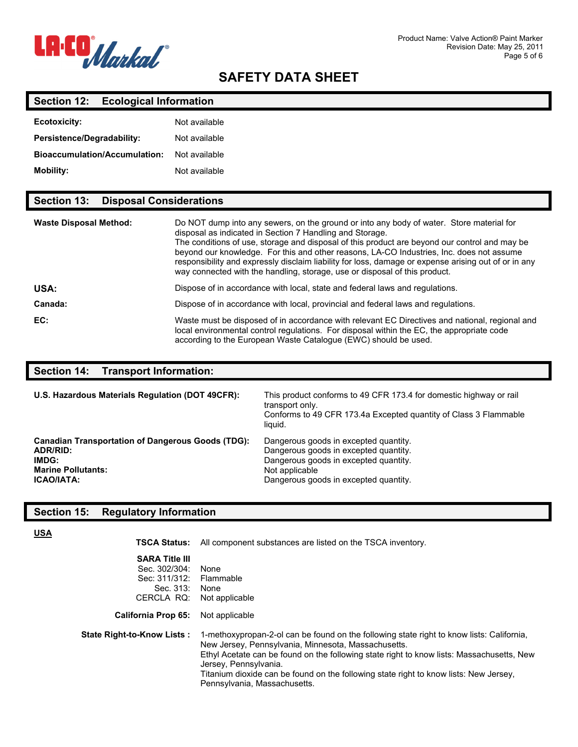

#### **Section 12: Ecological Information**

| <b>Ecotoxicity:</b>                  | Not available |
|--------------------------------------|---------------|
| <b>Persistence/Degradability:</b>    | Not available |
| <b>Bioaccumulation/Accumulation:</b> | Not available |
| <b>Mobility:</b>                     | Not available |

### **Section 13: Disposal Considerations**

| <b>Waste Disposal Method:</b> | Do NOT dump into any sewers, on the ground or into any body of water. Store material for<br>disposal as indicated in Section 7 Handling and Storage.<br>The conditions of use, storage and disposal of this product are beyond our control and may be<br>beyond our knowledge. For this and other reasons, LA-CO Industries, Inc. does not assume<br>responsibility and expressly disclaim liability for loss, damage or expense arising out of or in any<br>way connected with the handling, storage, use or disposal of this product. |
|-------------------------------|-----------------------------------------------------------------------------------------------------------------------------------------------------------------------------------------------------------------------------------------------------------------------------------------------------------------------------------------------------------------------------------------------------------------------------------------------------------------------------------------------------------------------------------------|
| USA:                          | Dispose of in accordance with local, state and federal laws and regulations.                                                                                                                                                                                                                                                                                                                                                                                                                                                            |
| Canada:                       | Dispose of in accordance with local, provincial and federal laws and regulations.                                                                                                                                                                                                                                                                                                                                                                                                                                                       |
| EC:                           | Waste must be disposed of in accordance with relevant EC Directives and national, regional and<br>local environmental control regulations. For disposal within the EC, the appropriate code<br>according to the European Waste Catalogue (EWC) should be used.                                                                                                                                                                                                                                                                          |

## **Section 14: Transport Information:**

| U.S. Hazardous Materials Regulation (DOT 49CFR):         | This product conforms to 49 CFR 173.4 for domestic highway or rail<br>transport only.<br>Conforms to 49 CFR 173.4a Excepted quantity of Class 3 Flammable<br>liquid. |
|----------------------------------------------------------|----------------------------------------------------------------------------------------------------------------------------------------------------------------------|
| <b>Canadian Transportation of Dangerous Goods (TDG):</b> | Dangerous goods in excepted quantity.                                                                                                                                |
| ADR/RID:                                                 | Dangerous goods in excepted quantity.                                                                                                                                |
| IMDG:                                                    | Dangerous goods in excepted quantity.                                                                                                                                |
| <b>Marine Pollutants:</b>                                | Not applicable                                                                                                                                                       |
| <b>ICAO/IATA:</b>                                        | Dangerous goods in excepted quantity.                                                                                                                                |

#### **Section 15: Regulatory Information**

**USA**

**TSCA Status:** All component substances are listed on the TSCA inventory.

| <b>SARA Title III</b><br>Sec. 302/304:<br>Sec: 311/312:<br>Sec. 313: | None<br>Flammable<br>None                                                                                                                                                                                                                                              |
|----------------------------------------------------------------------|------------------------------------------------------------------------------------------------------------------------------------------------------------------------------------------------------------------------------------------------------------------------|
| CERCLA RQ:<br><b>California Prop 65:</b>                             | Not applicable<br>Not applicable                                                                                                                                                                                                                                       |
| <b>State Right-to-Know Lists:</b>                                    | 1-methoxypropan-2-ol can be found on the following state right to know lists: California.<br>New Jersey, Pennsylvania, Minnesota, Massachusetts.<br>Ethyl Acetate can be found on the following state right to know lists: Massachusetts, New<br>Jersey, Pennsylvania. |

Titanium dioxide can be found on the following state right to know lists: New Jersey, Pennsylvania, Massachusetts.